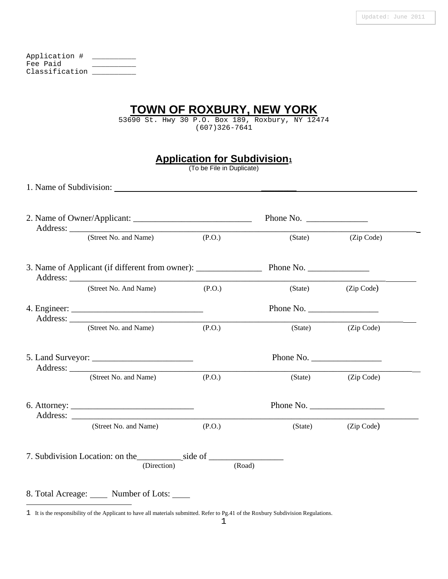| Application #  |  |
|----------------|--|
| Fee Paid       |  |
| Classification |  |

## **TOWN OF ROXBURY, NEW YORK**

53690 St. Hwy 30 P.O. Box 189, Roxbury, NY 12474 (607)326-7641

|  |  |  | <b>Application for Subdivision</b> 1 |
|--|--|--|--------------------------------------|
|  |  |  |                                      |

(To be File in Duplicate)

1. Name of Subdivision: \_\_\_\_\_\_\_\_

|  | (Street No. and Name)                                     | (P.O.)    | (State)   | (Zip Code)         |  |  |
|--|-----------------------------------------------------------|-----------|-----------|--------------------|--|--|
|  |                                                           |           |           |                    |  |  |
|  | (Street No. And Name)                                     | (P.O.)    |           | (State) (Zip Code) |  |  |
|  |                                                           |           | Phone No. |                    |  |  |
|  | (Street No. and Name)                                     | (P.O.)    |           | (State) (Zip Code) |  |  |
|  |                                                           | Phone No. |           |                    |  |  |
|  | Address: <u>Containing</u> Containing Containing CO (P.O. | (P.O.)    | (State)   | (Zip Code)         |  |  |
|  |                                                           |           | Phone No. |                    |  |  |
|  | (Street No. and Name)                                     | (P.O.)    |           | (State) (Zip Code) |  |  |
|  | (Direction)                                               | (Road)    |           |                    |  |  |

<span id="page-0-0"></span><sup>1</sup> It is the responsibility of the Applicant to have all materials submitted. Refer to Pg.41 of the Roxbury Subdivision Regulations.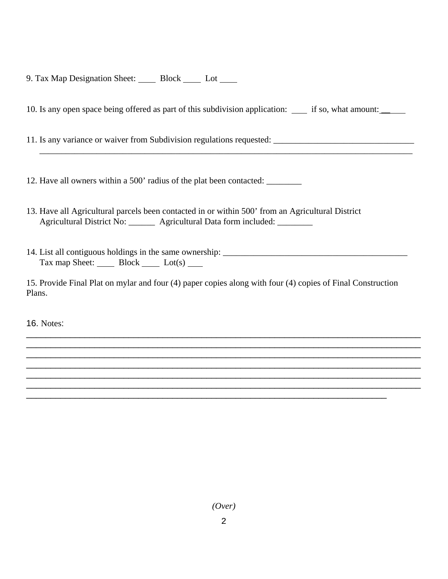9. Tax Map Designation Sheet: Block \_\_\_\_ Lot \_\_\_\_

10. Is any open space being offered as part of this subdivision application: if so, what amount: \_\_

 $\overline{\phantom{a}}$  ,  $\overline{\phantom{a}}$  ,  $\overline{\phantom{a}}$  ,  $\overline{\phantom{a}}$  ,  $\overline{\phantom{a}}$  ,  $\overline{\phantom{a}}$  ,  $\overline{\phantom{a}}$  ,  $\overline{\phantom{a}}$  ,  $\overline{\phantom{a}}$  ,  $\overline{\phantom{a}}$  ,  $\overline{\phantom{a}}$  ,  $\overline{\phantom{a}}$  ,  $\overline{\phantom{a}}$  ,  $\overline{\phantom{a}}$  ,  $\overline{\phantom{a}}$  ,  $\overline{\phantom{a}}$ 

11. Is any variance or waiver from Subdivision regulations requested: \_\_\_\_\_\_\_\_\_\_\_\_\_\_\_\_\_\_\_\_\_\_\_\_\_\_\_\_\_\_\_\_

12. Have all owners within a 500' radius of the plat been contacted: \_\_\_\_\_\_\_\_

- 13. Have all Agricultural parcels been contacted in or within 500' from an Agricultural District Agricultural District No: \_\_\_\_\_\_\_ Agricultural Data form included: \_\_\_\_\_\_\_\_
- 14. List all contiguous holdings in the same ownership: \_\_\_\_\_\_\_\_\_\_\_\_\_\_\_\_\_\_\_\_\_\_\_\_\_\_\_\_\_\_\_\_\_\_\_\_\_\_\_\_\_\_  $\text{Tax map Sheet:}$  Block Lot(s)

15. Provide Final Plat on mylar and four (4) paper copies along with four (4) copies of Final Construction Plans.

\_\_\_\_\_\_\_\_\_\_\_\_\_\_\_\_\_\_\_\_\_\_\_\_\_\_\_\_\_\_\_\_\_\_\_\_\_\_\_\_\_\_\_\_\_\_\_\_\_\_\_\_\_\_\_\_\_\_\_\_\_\_\_\_\_\_\_\_\_\_\_\_\_\_

\_\_\_\_\_\_\_\_\_\_\_\_\_\_\_\_\_\_\_\_\_\_\_\_\_\_\_\_\_\_\_\_\_\_\_\_\_\_\_\_\_\_\_\_\_\_\_\_\_\_\_\_\_\_\_\_\_\_\_\_\_\_\_\_\_\_\_\_\_\_\_\_\_\_\_\_\_\_\_\_\_ \_\_\_\_\_\_\_\_\_\_\_\_\_\_\_\_\_\_\_\_\_\_\_\_\_\_\_\_\_\_\_\_\_\_\_\_\_\_\_\_\_\_\_\_\_\_\_\_\_\_\_\_\_\_\_\_\_\_\_\_\_\_\_\_\_\_\_\_\_\_\_\_\_\_\_\_\_\_\_\_\_ \_\_\_\_\_\_\_\_\_\_\_\_\_\_\_\_\_\_\_\_\_\_\_\_\_\_\_\_\_\_\_\_\_\_\_\_\_\_\_\_\_\_\_\_\_\_\_\_\_\_\_\_\_\_\_\_\_\_\_\_\_\_\_\_\_\_\_\_\_\_\_\_\_\_\_\_\_\_\_\_\_ \_\_\_\_\_\_\_\_\_\_\_\_\_\_\_\_\_\_\_\_\_\_\_\_\_\_\_\_\_\_\_\_\_\_\_\_\_\_\_\_\_\_\_\_\_\_\_\_\_\_\_\_\_\_\_\_\_\_\_\_\_\_\_\_\_\_\_\_\_\_\_\_\_\_\_\_\_\_\_\_\_ \_\_\_\_\_\_\_\_\_\_\_\_\_\_\_\_\_\_\_\_\_\_\_\_\_\_\_\_\_\_\_\_\_\_\_\_\_\_\_\_\_\_\_\_\_\_\_\_\_\_\_\_\_\_\_\_\_\_\_\_\_\_\_\_\_\_\_\_\_\_\_\_\_\_\_\_\_\_\_\_\_ \_\_\_\_\_\_\_\_\_\_\_\_\_\_\_\_\_\_\_\_\_\_\_\_\_\_\_\_\_\_\_\_\_\_\_\_\_\_\_\_\_\_\_\_\_\_\_\_\_\_\_\_\_\_\_\_\_\_\_\_\_\_\_\_\_\_\_\_\_\_\_\_\_\_\_\_\_\_\_\_\_

16. Notes: